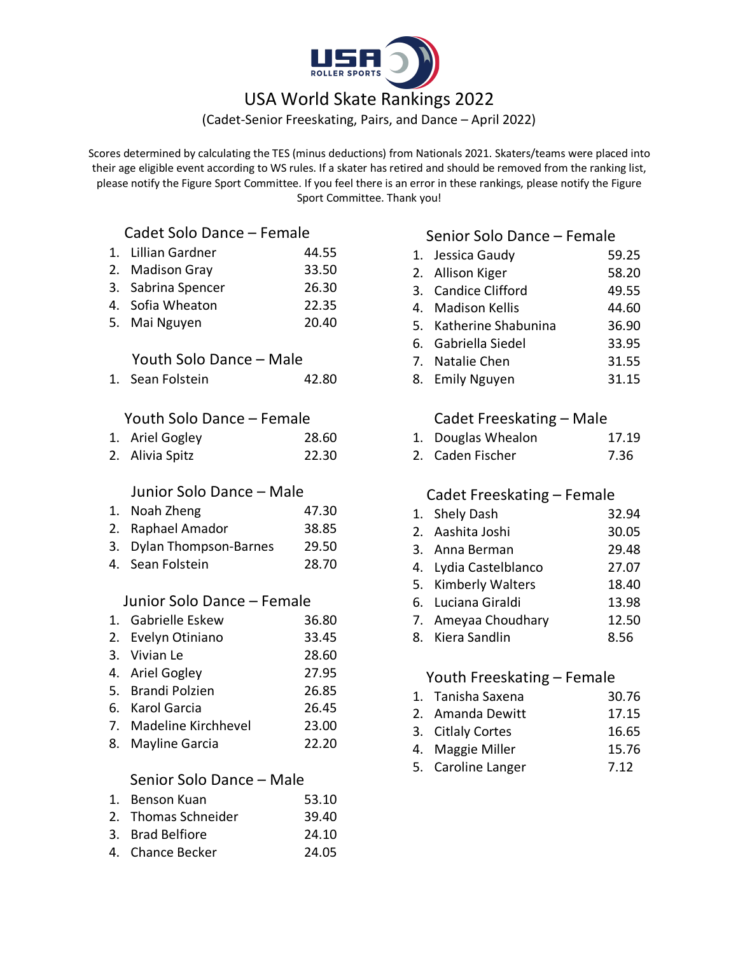

# USA World Skate Rankings 2022

(Cadet-Senior Freeskating, Pairs, and Dance – April 2022)

Scores determined by calculating the TES (minus deductions) from Nationals 2021. Skaters/teams were placed into their age eligible event according to WS rules. If a skater has retired and should be removed from the ranking list, please notify the Figure Sport Committee. If you feel there is an error in these rankings, please notify the Figure Sport Committee. Thank you!

# Cadet Solo Dance – Female

| 1. | Lillian Gardner            | 44.55 |
|----|----------------------------|-------|
|    | 2. Madison Gray            | 33.50 |
|    | 3. Sabrina Spencer         | 26.30 |
|    | 4. Sofia Wheaton           | 22.35 |
|    | 5. Mai Nguyen              | 20.40 |
|    | Youth Solo Dance - Male    |       |
|    | 1. Sean Folstein           | 42.80 |
|    | Youth Solo Dance - Female  |       |
| 1. | Ariel Gogley               | 28.60 |
|    | 2. Alivia Spitz            | 22.30 |
|    |                            |       |
|    | Junior Solo Dance - Male   |       |
|    | 1. Noah Zheng              | 47.30 |
|    | 2. Raphael Amador          | 38.85 |
|    | 3. Dylan Thompson-Barnes   | 29.50 |
|    | 4. Sean Folstein           | 28.70 |
|    | Junior Solo Dance - Female |       |
|    | 1. Gabrielle Eskew         | 36.80 |
|    | 2. Evelyn Otiniano         | 33.45 |
|    | 3. Vivian Le               | 28.60 |
|    | 4. Ariel Gogley            | 27.95 |
|    | 5. Brandi Polzien          | 26.85 |
|    | 6. Karol Garcia            | 26.45 |
|    | 7. Madeline Kirchhevel     | 23.00 |
| 8. | Mayline Garcia             | 22.20 |
|    | Senior Solo Dance - Male   |       |
|    | 1. Benson Kuan             | 53.10 |
| 2. | <b>Thomas Schneider</b>    | 39.40 |
| 3. | <b>Brad Belfiore</b>       | 24.10 |
| 4. | <b>Chance Becker</b>       | 24.05 |

### Senior Solo Dance – Female

| 1. Jessica Gaudy       | 59.25 |
|------------------------|-------|
| 2. Allison Kiger       | 58.20 |
| 3. Candice Clifford    | 49.55 |
| 4. Madison Kellis      | 44.60 |
| 5. Katherine Shabunina | 36.90 |
| 6. Gabriella Siedel    | 33.95 |
| 7. Natalie Chen        | 31.55 |

8. Emily Nguyen 31.15

### Cadet Freeskating – Male

- 1. Douglas Whealon 17.19
- 2. Caden Fischer 7.36

## Cadet Freeskating – Female

| 1. Shely Dash<br>32.94 |
|------------------------|
|------------------------|

- 2. Aashita Joshi 30.05
- 3. Anna Berman 29.48
- 4. Lydia Castelblanco 27.07
- 5. Kimberly Walters 18.40
- 6. Luciana Giraldi 13.98
- 7. Ameyaa Choudhary 12.50
- 8. Kiera Sandlin 8.56

#### Youth Freeskating – Female

#### 1. Tanisha Saxena 30.76

- 2. Amanda Dewitt 17.15
- 3. Citlaly Cortes 16.65
- 4. Maggie Miller 15.76
- 5. Caroline Langer 7.12